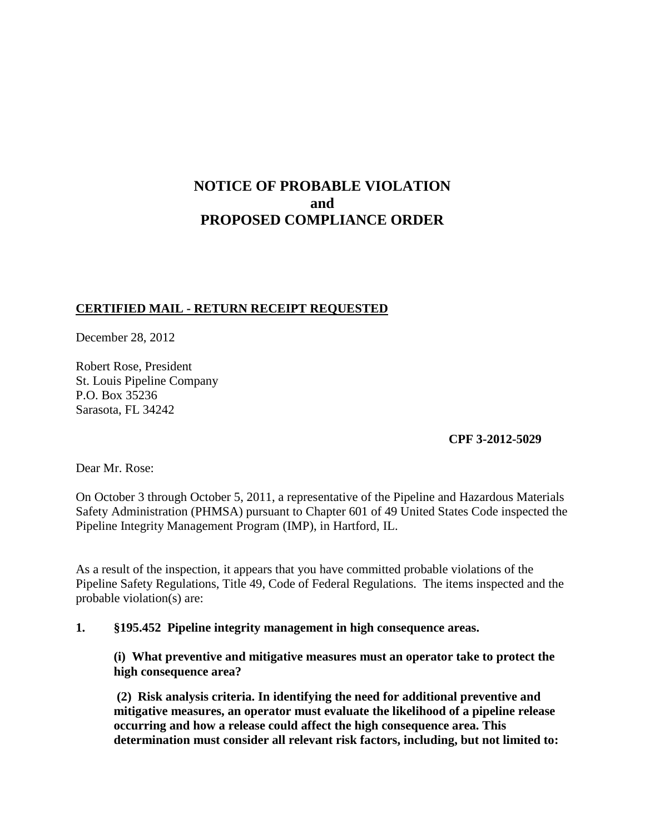# **NOTICE OF PROBABLE VIOLATION and PROPOSED COMPLIANCE ORDER**

## **CERTIFIED MAIL - RETURN RECEIPT REQUESTED**

December 28, 2012

Robert Rose, President St. Louis Pipeline Company P.O. Box 35236 Sarasota, FL 34242

**CPF 3-2012-5029**

Dear Mr. Rose:

On October 3 through October 5, 2011, a representative of the Pipeline and Hazardous Materials Safety Administration (PHMSA) pursuant to Chapter 601 of 49 United States Code inspected the Pipeline Integrity Management Program (IMP), in Hartford, IL.

As a result of the inspection, it appears that you have committed probable violations of the Pipeline Safety Regulations, Title 49, Code of Federal Regulations. The items inspected and the probable violation(s) are:

## **1. §195.452 Pipeline integrity management in high consequence areas.**

**(i) What preventive and mitigative measures must an operator take to protect the high consequence area?** 

**(2) Risk analysis criteria. In identifying the need for additional preventive and mitigative measures, an operator must evaluate the likelihood of a pipeline release occurring and how a release could affect the high consequence area. This determination must consider all relevant risk factors, including, but not limited to:**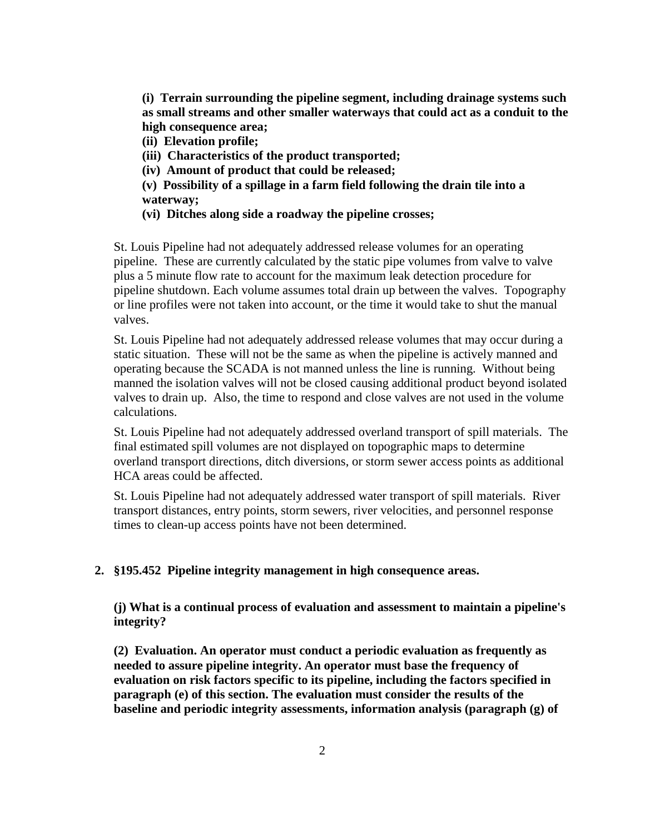**(i) Terrain surrounding the pipeline segment, including drainage systems such as small streams and other smaller waterways that could act as a conduit to the high consequence area;**

**(ii) Elevation profile;**

- **(iii) Characteristics of the product transported;**
- **(iv) Amount of product that could be released;**
- **(v) Possibility of a spillage in a farm field following the drain tile into a waterway;**
- **(vi) Ditches along side a roadway the pipeline crosses;**

St. Louis Pipeline had not adequately addressed release volumes for an operating pipeline. These are currently calculated by the static pipe volumes from valve to valve plus a 5 minute flow rate to account for the maximum leak detection procedure for pipeline shutdown. Each volume assumes total drain up between the valves. Topography or line profiles were not taken into account, or the time it would take to shut the manual valves.

St. Louis Pipeline had not adequately addressed release volumes that may occur during a static situation. These will not be the same as when the pipeline is actively manned and operating because the SCADA is not manned unless the line is running. Without being manned the isolation valves will not be closed causing additional product beyond isolated valves to drain up. Also, the time to respond and close valves are not used in the volume calculations.

St. Louis Pipeline had not adequately addressed overland transport of spill materials. The final estimated spill volumes are not displayed on topographic maps to determine overland transport directions, ditch diversions, or storm sewer access points as additional HCA areas could be affected.

St. Louis Pipeline had not adequately addressed water transport of spill materials. River transport distances, entry points, storm sewers, river velocities, and personnel response times to clean-up access points have not been determined.

#### **2. §195.452 Pipeline integrity management in high consequence areas.**

**(j) What is a continual process of evaluation and assessment to maintain a pipeline's integrity?**

**(2) Evaluation. An operator must conduct a periodic evaluation as frequently as needed to assure pipeline integrity. An operator must base the frequency of evaluation on risk factors specific to its pipeline, including the factors specified in paragraph (e) of this section. The evaluation must consider the results of the baseline and periodic integrity assessments, information analysis (paragraph (g) of**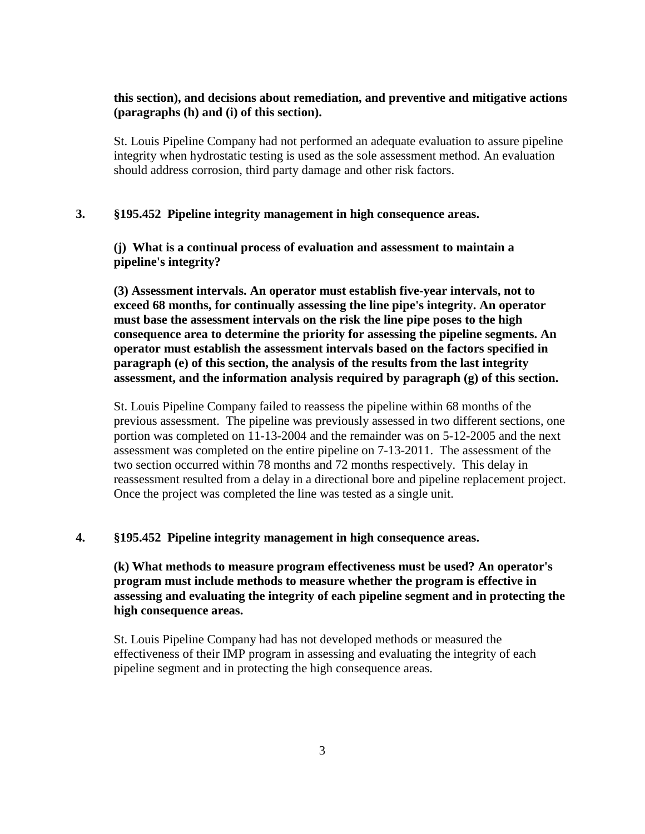## **this section), and decisions about remediation, and preventive and mitigative actions (paragraphs (h) and (i) of this section).**

St. Louis Pipeline Company had not performed an adequate evaluation to assure pipeline integrity when hydrostatic testing is used as the sole assessment method. An evaluation should address corrosion, third party damage and other risk factors.

#### **3. §195.452 Pipeline integrity management in high consequence areas.**

**(j) What is a continual process of evaluation and assessment to maintain a pipeline's integrity?**

**(3) Assessment intervals. An operator must establish five-year intervals, not to exceed 68 months, for continually assessing the line pipe's integrity. An operator must base the assessment intervals on the risk the line pipe poses to the high consequence area to determine the priority for assessing the pipeline segments. An operator must establish the assessment intervals based on the factors specified in paragraph (e) of this section, the analysis of the results from the last integrity assessment, and the information analysis required by paragraph (g) of this section.** 

St. Louis Pipeline Company failed to reassess the pipeline within 68 months of the previous assessment. The pipeline was previously assessed in two different sections, one portion was completed on 11-13-2004 and the remainder was on 5-12-2005 and the next assessment was completed on the entire pipeline on 7-13-2011. The assessment of the two section occurred within 78 months and 72 months respectively. This delay in reassessment resulted from a delay in a directional bore and pipeline replacement project. Once the project was completed the line was tested as a single unit.

#### **4. §195.452 Pipeline integrity management in high consequence areas.**

**(k) What methods to measure program effectiveness must be used? An operator's program must include methods to measure whether the program is effective in assessing and evaluating the integrity of each pipeline segment and in protecting the high consequence areas.** 

St. Louis Pipeline Company had has not developed methods or measured the effectiveness of their IMP program in assessing and evaluating the integrity of each pipeline segment and in protecting the high consequence areas.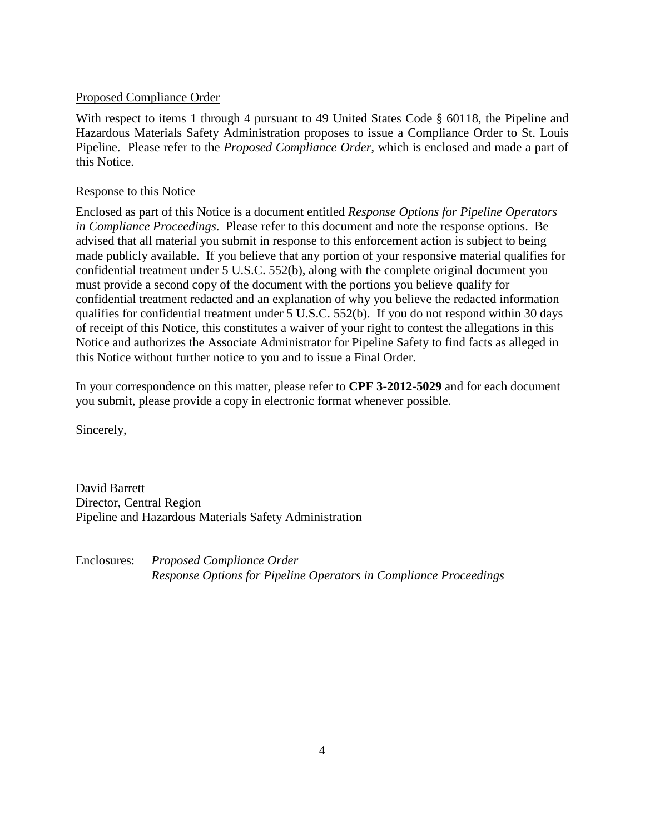## Proposed Compliance Order

With respect to items 1 through 4 pursuant to 49 United States Code § 60118, the Pipeline and Hazardous Materials Safety Administration proposes to issue a Compliance Order to St. Louis Pipeline. Please refer to the *Proposed Compliance Order*, which is enclosed and made a part of this Notice.

## Response to this Notice

Enclosed as part of this Notice is a document entitled *Response Options for Pipeline Operators in Compliance Proceedings*. Please refer to this document and note the response options. Be advised that all material you submit in response to this enforcement action is subject to being made publicly available. If you believe that any portion of your responsive material qualifies for confidential treatment under 5 U.S.C. 552(b), along with the complete original document you must provide a second copy of the document with the portions you believe qualify for confidential treatment redacted and an explanation of why you believe the redacted information qualifies for confidential treatment under 5 U.S.C. 552(b). If you do not respond within 30 days of receipt of this Notice, this constitutes a waiver of your right to contest the allegations in this Notice and authorizes the Associate Administrator for Pipeline Safety to find facts as alleged in this Notice without further notice to you and to issue a Final Order.

In your correspondence on this matter, please refer to **CPF 3-2012-5029** and for each document you submit, please provide a copy in electronic format whenever possible.

Sincerely,

David Barrett Director, Central Region Pipeline and Hazardous Materials Safety Administration

Enclosures: *Proposed Compliance Order Response Options for Pipeline Operators in Compliance Proceedings*